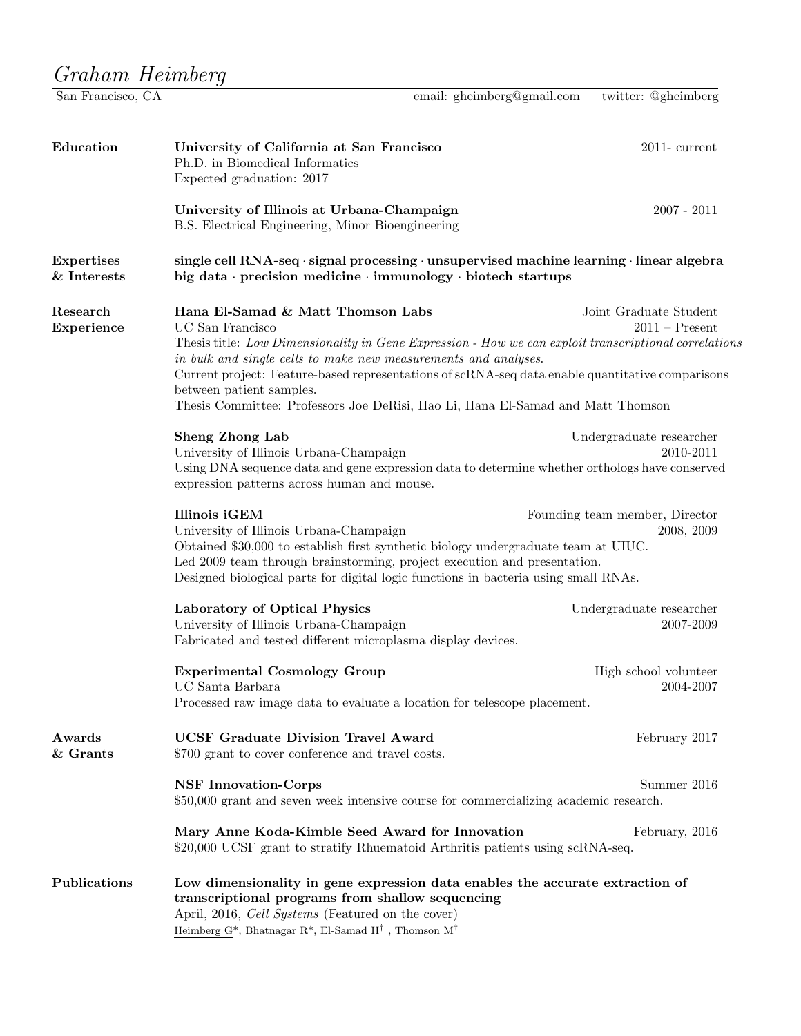## $\begin{array}{lll} \textit{Graham Heimberg} \\\hline \textsc{San Francisco, CA} \end{array}$

email: gheimberg@gmail.com twitter: @gheimberg

| Education                        | University of California at San Francisco<br>Ph.D. in Biomedical Informatics<br>Expected graduation: 2017                                                                                                                                                                                                                                                                                                                                                                                          | $2011$ - current                      |  |
|----------------------------------|----------------------------------------------------------------------------------------------------------------------------------------------------------------------------------------------------------------------------------------------------------------------------------------------------------------------------------------------------------------------------------------------------------------------------------------------------------------------------------------------------|---------------------------------------|--|
|                                  | University of Illinois at Urbana-Champaign<br>B.S. Electrical Engineering, Minor Bioengineering                                                                                                                                                                                                                                                                                                                                                                                                    | $2007 - 2011$                         |  |
| <b>Expertises</b><br>& Interests | single cell RNA-seq $\cdot$ signal processing $\cdot$ unsupervised machine learning $\cdot$ linear algebra<br>big data · precision medicine · immunology · biotech startups                                                                                                                                                                                                                                                                                                                        |                                       |  |
| Research<br>Experience           | Hana El-Samad & Matt Thomson Labs<br>Joint Graduate Student<br>UC San Francisco<br>$2011 -$ Present<br>Thesis title: Low Dimensionality in Gene Expression - How we can exploit transcriptional correlations<br>in bulk and single cells to make new measurements and analyses.<br>Current project: Feature-based representations of scRNA-seq data enable quantitative comparisons<br>between patient samples.<br>Thesis Committee: Professors Joe DeRisi, Hao Li, Hana El-Samad and Matt Thomson |                                       |  |
|                                  | <b>Sheng Zhong Lab</b><br>University of Illinois Urbana-Champaign<br>Using DNA sequence data and gene expression data to determine whether orthologs have conserved<br>expression patterns across human and mouse.                                                                                                                                                                                                                                                                                 | Undergraduate researcher<br>2010-2011 |  |
|                                  | Illinois iGEM<br>Founding team member, Director<br>University of Illinois Urbana-Champaign<br>2008, 2009<br>Obtained \$30,000 to establish first synthetic biology undergraduate team at UIUC.<br>Led 2009 team through brainstorming, project execution and presentation.<br>Designed biological parts for digital logic functions in bacteria using small RNAs.                                                                                                                                  |                                       |  |
|                                  | Laboratory of Optical Physics<br>University of Illinois Urbana-Champaign<br>Fabricated and tested different microplasma display devices.                                                                                                                                                                                                                                                                                                                                                           | Undergraduate researcher<br>2007-2009 |  |
|                                  | <b>Experimental Cosmology Group</b><br>UC Santa Barbara<br>Processed raw image data to evaluate a location for telescope placement.                                                                                                                                                                                                                                                                                                                                                                | High school volunteer<br>2004-2007    |  |
| Awards<br>& Grants               | <b>UCSF Graduate Division Travel Award</b><br>\$700 grant to cover conference and travel costs.                                                                                                                                                                                                                                                                                                                                                                                                    | February 2017                         |  |
|                                  | <b>NSF Innovation-Corps</b><br>Summer 2016<br>\$50,000 grant and seven week intensive course for commercializing academic research.                                                                                                                                                                                                                                                                                                                                                                |                                       |  |
|                                  | Mary Anne Koda-Kimble Seed Award for Innovation<br>\$20,000 UCSF grant to stratify Rhuematoid Arthritis patients using scRNA-seq.                                                                                                                                                                                                                                                                                                                                                                  | February, 2016                        |  |
| Publications                     | Low dimensionality in gene expression data enables the accurate extraction of<br>transcriptional programs from shallow sequencing<br>April, 2016, Cell Systems (Featured on the cover)<br>Heimberg G <sup>*</sup> , Bhatnagar R <sup>*</sup> , El-Samad H <sup>†</sup> , Thomson M <sup>†</sup>                                                                                                                                                                                                    |                                       |  |